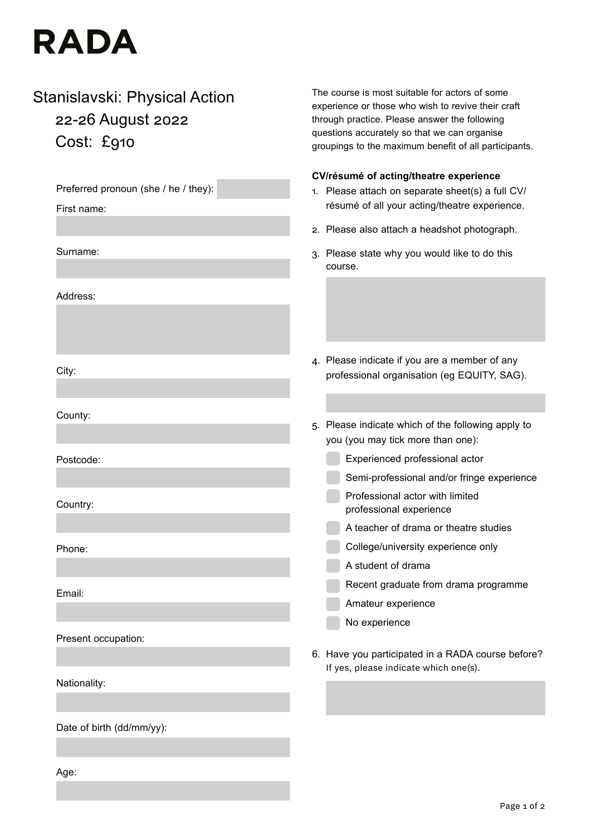# **RADA**

# Stanislavski: Physical Action 22-26 August 2022 Cost: £910

Preferred pronoun (she / he / they): First name: Surname: Address: City: County: Postcode: Country: Phone: Email: Present occupation: Nationality: Date of birth (dd/mm/yy): Age: **CV/résumé of acting/theatre experience** 1. Please attach on separate sheet(s) a full CV/ résumé of all your acting/theatre experience. 2. Please also attach a headshot photograph. 3. Please state why you would like to do this course. 4. Please indicate if you are a member of any professional organisation (eg EQUITY, SAG). 5. Please indicate which of the following apply to you (you may tick more than one): Experienced professional actor Semi-professional and/or fringe experience Professional actor with limited professional experience A teacher of drama or theatre studies College/university experience only A student of drama Recent graduate from drama programme Amateur experience No experience 6. Have you participated in a RADA course before? If yes, please indicate which one(s).

The course is most suitable for actors of some experience or those who wish to revive their craft through practice. Please answer the following questions accurately so that we can organise

groupings to the maximum benefit of all participants.